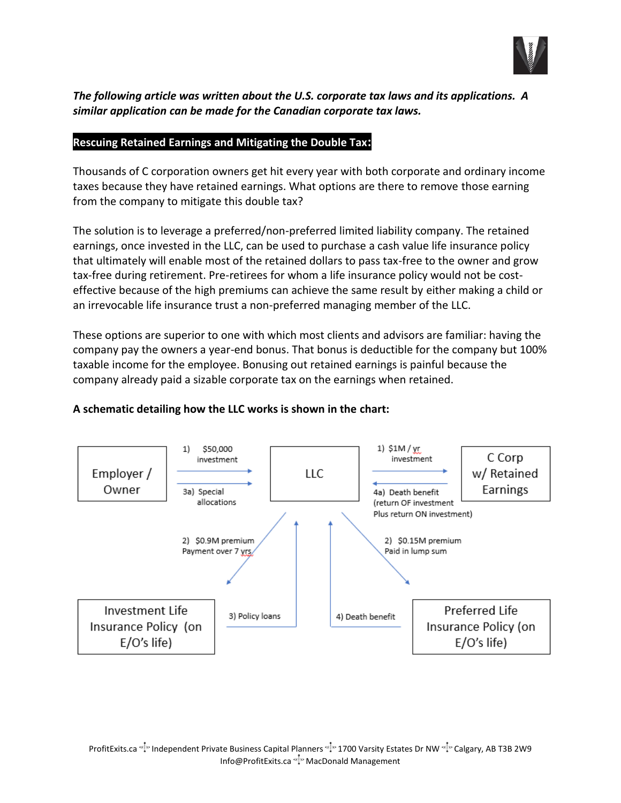

# *The following article was written about the U.S. corporate tax laws and its applications. A similar application can be made for the Canadian corporate tax laws.*

### **Rescuing Retained Earnings and Mitigating the Double Tax:**

Thousands of C corporation owners get hit every year with both corporate and ordinary income taxes because they have retained earnings. What options are there to remove those earning from the company to mitigate this double tax?

The solution is to leverage a preferred/non-preferred limited liability company. The retained earnings, once invested in the LLC, can be used to purchase a cash value life insurance policy that ultimately will enable most of the retained dollars to pass tax-free to the owner and grow tax-free during retirement. Pre-retirees for whom a life insurance policy would not be costeffective because of the high premiums can achieve the same result by either making a child or an irrevocable life insurance trust a non-preferred managing member of the LLC.

These options are superior to one with which most clients and advisors are familiar: having the company pay the owners a year-end bonus. That bonus is deductible for the company but 100% taxable income for the employee. Bonusing out retained earnings is painful because the company already paid a sizable corporate tax on the earnings when retained.



## **A schematic detailing how the LLC works is shown in the chart:**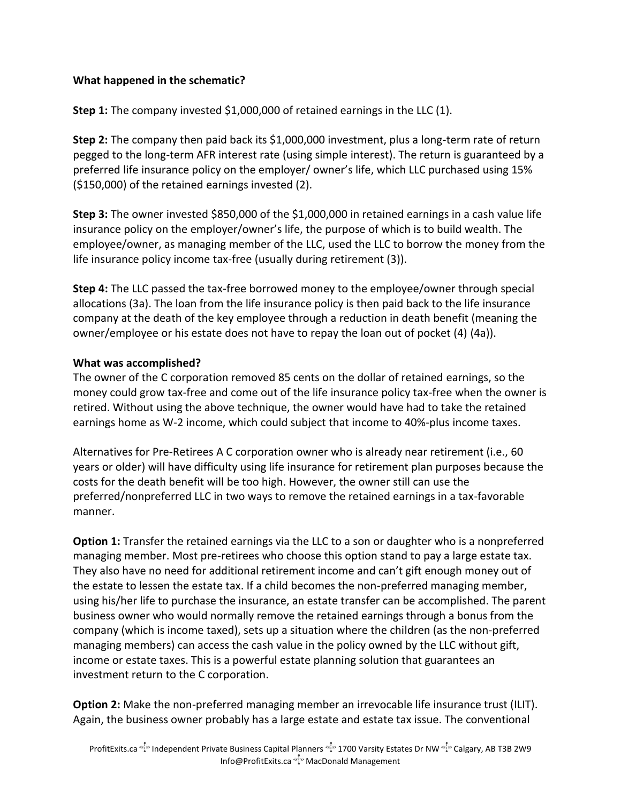## **What happened in the schematic?**

**Step 1:** The company invested \$1,000,000 of retained earnings in the LLC (1).

**Step 2:** The company then paid back its \$1,000,000 investment, plus a long-term rate of return pegged to the long-term AFR interest rate (using simple interest). The return is guaranteed by a preferred life insurance policy on the employer/ owner's life, which LLC purchased using 15% (\$150,000) of the retained earnings invested (2).

**Step 3:** The owner invested \$850,000 of the \$1,000,000 in retained earnings in a cash value life insurance policy on the employer/owner's life, the purpose of which is to build wealth. The employee/owner, as managing member of the LLC, used the LLC to borrow the money from the life insurance policy income tax-free (usually during retirement (3)).

**Step 4:** The LLC passed the tax-free borrowed money to the employee/owner through special allocations (3a). The loan from the life insurance policy is then paid back to the life insurance company at the death of the key employee through a reduction in death benefit (meaning the owner/employee or his estate does not have to repay the loan out of pocket (4) (4a)).

## **What was accomplished?**

The owner of the C corporation removed 85 cents on the dollar of retained earnings, so the money could grow tax-free and come out of the life insurance policy tax-free when the owner is retired. Without using the above technique, the owner would have had to take the retained earnings home as W-2 income, which could subject that income to 40%-plus income taxes.

Alternatives for Pre-Retirees A C corporation owner who is already near retirement (i.e., 60 years or older) will have difficulty using life insurance for retirement plan purposes because the costs for the death benefit will be too high. However, the owner still can use the preferred/nonpreferred LLC in two ways to remove the retained earnings in a tax-favorable manner.

**Option 1:** Transfer the retained earnings via the LLC to a son or daughter who is a nonpreferred managing member. Most pre-retirees who choose this option stand to pay a large estate tax. They also have no need for additional retirement income and can't gift enough money out of the estate to lessen the estate tax. If a child becomes the non-preferred managing member, using his/her life to purchase the insurance, an estate transfer can be accomplished. The parent business owner who would normally remove the retained earnings through a bonus from the company (which is income taxed), sets up a situation where the children (as the non-preferred managing members) can access the cash value in the policy owned by the LLC without gift, income or estate taxes. This is a powerful estate planning solution that guarantees an investment return to the C corporation.

**Option 2:** Make the non-preferred managing member an irrevocable life insurance trust (ILIT). Again, the business owner probably has a large estate and estate tax issue. The conventional